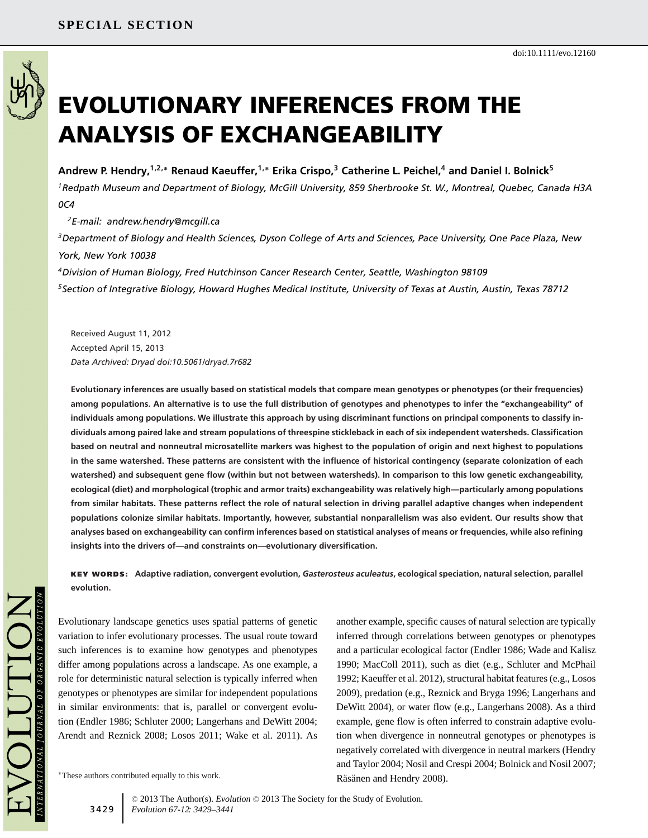

# **EVOLUTIONARY INFERENCES FROM THE ANALYSIS OF EXCHANGEABILITY**

## Andrew P. Hendry,<sup>1,2,\*</sup> Renaud Kaeuffer,<sup>1,\*</sup> Erika Crispo,<sup>3</sup> Catherine L. Peichel,<sup>4</sup> and Daniel I. Bolnick<sup>5</sup>

<sup>1</sup>Redpath Museum and Department of Biology, McGill University, 859 Sherbrooke St. W., Montreal, Quebec, Canada H3A *0C4*

*2E-mail: andrew.hendry@mcgill.ca*

<sup>3</sup>Department of Biology and Health Sciences, Dyson College of Arts and Sciences, Pace University, One Pace Plaza, New *York, New York 10038*

*4Division of Human Biology, Fred Hutchinson Cancer Research Center, Seattle, Washington 98109*

<sup>5</sup>Section of Integrative Biology, Howard Hughes Medical Institute, University of Texas at Austin, Austin, Texas 78712

Received August 11, 2012 Accepted April 15, 2013 *Data Archived: Dryad doi:10.5061/dryad.7r682*

Evolutionary inferences are usually based on statistical models that compare mean genotypes or phenotypes (or their frequencies) among populations. An alternative is to use the full distribution of genotypes and phenotypes to infer the "exchangeability" of individuals among populations. We illustrate this approach by using discriminant functions on principal components to classify individuals among paired lake and stream populations of threespine stickleback in each of six independent watersheds. Classification based on neutral and nonneutral microsatellite markers was highest to the population of origin and next highest to populations in the same watershed. These patterns are consistent with the influence of historical contingency (separate colonization of each watershed) and subsequent gene flow (within but not between watersheds). In comparison to this low genetic exchangeability, ecological (diet) and morphological (trophic and armor traits) exchangeability was relatively high—particularly among populations from similar habitats. These patterns reflect the role of natural selection in driving parallel adaptive changes when independent populations colonize similar habitats. Importantly, however, substantial nonparallelism was also evident. Our results show that analyses based on exchangeability can confirm inferences based on statistical analyses of means or frequencies, while also refining **insights into the drivers of—and constraints on—evolutionary diversification.**

KEY WORDS: Adaptive radiation, convergent evolution, Gasterosteus aculeatus, ecological speciation, natural selection, parallel **evolution.**

Evolutionary landscape genetics uses spatial patterns of genetic variation to infer evolutionary processes. The usual route toward such inferences is to examine how genotypes and phenotypes differ among populations across a landscape. As one example, a role for deterministic natural selection is typically inferred when genotypes or phenotypes are similar for independent populations in similar environments: that is, parallel or convergent evolution (Endler 1986; Schluter 2000; Langerhans and DeWitt 2004; Arendt and Reznick 2008; Losos 2011; Wake et al. 2011). As

∗These authors contributed equally to this work.

another example, specific causes of natural selection are typically inferred through correlations between genotypes or phenotypes and a particular ecological factor (Endler 1986; Wade and Kalisz 1990; MacColl 2011), such as diet (e.g., Schluter and McPhail 1992; Kaeuffer et al. 2012), structural habitat features (e.g., Losos 2009), predation (e.g., Reznick and Bryga 1996; Langerhans and DeWitt 2004), or water flow (e.g., Langerhans 2008). As a third example, gene flow is often inferred to constrain adaptive evolution when divergence in nonneutral genotypes or phenotypes is negatively correlated with divergence in neutral markers (Hendry and Taylor 2004; Nosil and Crespi 2004; Bolnick and Nosil 2007; Räsänen and Hendry 2008).

 $\sum\limits_{\text{row.}(\text{norm})} \prod\limits_{\text{norm}} \prod\limits_{\text{norm}} \prod\limits_{\text{error}}$ 

 $\odot$  2013 The Author(s). *Evolution*  $\odot$  2013 The Society for the Study of Evolution. *Evolution 67-12: 3429–3441*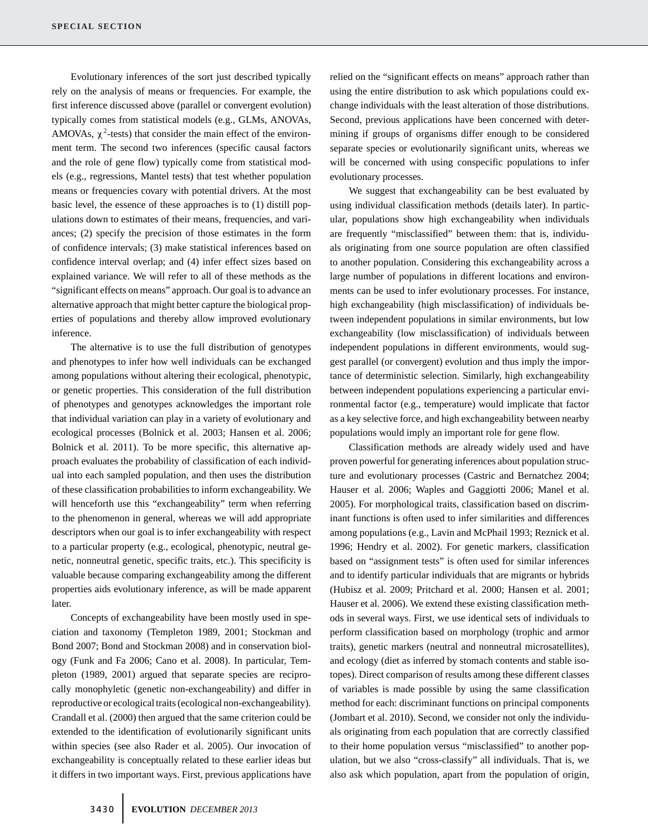Evolutionary inferences of the sort just described typically rely on the analysis of means or frequencies. For example, the first inference discussed above (parallel or convergent evolution) typically comes from statistical models (e.g., GLMs, ANOVAs, AMOVAs,  $\chi^2$ -tests) that consider the main effect of the environment term. The second two inferences (specific causal factors and the role of gene flow) typically come from statistical models (e.g., regressions, Mantel tests) that test whether population means or frequencies covary with potential drivers. At the most basic level, the essence of these approaches is to (1) distill populations down to estimates of their means, frequencies, and variances; (2) specify the precision of those estimates in the form of confidence intervals; (3) make statistical inferences based on confidence interval overlap; and (4) infer effect sizes based on explained variance. We will refer to all of these methods as the "significant effects on means" approach. Our goal is to advance an alternative approach that might better capture the biological properties of populations and thereby allow improved evolutionary inference.

The alternative is to use the full distribution of genotypes and phenotypes to infer how well individuals can be exchanged among populations without altering their ecological, phenotypic, or genetic properties. This consideration of the full distribution of phenotypes and genotypes acknowledges the important role that individual variation can play in a variety of evolutionary and ecological processes (Bolnick et al. 2003; Hansen et al. 2006; Bolnick et al. 2011). To be more specific, this alternative approach evaluates the probability of classification of each individual into each sampled population, and then uses the distribution of these classification probabilities to inform exchangeability. We will henceforth use this "exchangeability" term when referring to the phenomenon in general, whereas we will add appropriate descriptors when our goal is to infer exchangeability with respect to a particular property (e.g., ecological, phenotypic, neutral genetic, nonneutral genetic, specific traits, etc.). This specificity is valuable because comparing exchangeability among the different properties aids evolutionary inference, as will be made apparent later.

Concepts of exchangeability have been mostly used in speciation and taxonomy (Templeton 1989, 2001; Stockman and Bond 2007; Bond and Stockman 2008) and in conservation biology (Funk and Fa 2006; Cano et al. 2008). In particular, Templeton (1989, 2001) argued that separate species are reciprocally monophyletic (genetic non-exchangeability) and differ in reproductive or ecological traits (ecological non-exchangeability). Crandall et al. (2000) then argued that the same criterion could be extended to the identification of evolutionarily significant units within species (see also Rader et al. 2005). Our invocation of exchangeability is conceptually related to these earlier ideas but it differs in two important ways. First, previous applications have

relied on the "significant effects on means" approach rather than using the entire distribution to ask which populations could exchange individuals with the least alteration of those distributions. Second, previous applications have been concerned with determining if groups of organisms differ enough to be considered separate species or evolutionarily significant units, whereas we will be concerned with using conspecific populations to infer evolutionary processes.

We suggest that exchangeability can be best evaluated by using individual classification methods (details later). In particular, populations show high exchangeability when individuals are frequently "misclassified" between them: that is, individuals originating from one source population are often classified to another population. Considering this exchangeability across a large number of populations in different locations and environments can be used to infer evolutionary processes. For instance, high exchangeability (high misclassification) of individuals between independent populations in similar environments, but low exchangeability (low misclassification) of individuals between independent populations in different environments, would suggest parallel (or convergent) evolution and thus imply the importance of deterministic selection. Similarly, high exchangeability between independent populations experiencing a particular environmental factor (e.g., temperature) would implicate that factor as a key selective force, and high exchangeability between nearby populations would imply an important role for gene flow.

Classification methods are already widely used and have proven powerful for generating inferences about population structure and evolutionary processes (Castric and Bernatchez 2004; Hauser et al. 2006; Waples and Gaggiotti 2006; Manel et al. 2005). For morphological traits, classification based on discriminant functions is often used to infer similarities and differences among populations (e.g., Lavin and McPhail 1993; Reznick et al. 1996; Hendry et al. 2002). For genetic markers, classification based on "assignment tests" is often used for similar inferences and to identify particular individuals that are migrants or hybrids (Hubisz et al. 2009; Pritchard et al. 2000; Hansen et al. 2001; Hauser et al. 2006). We extend these existing classification methods in several ways. First, we use identical sets of individuals to perform classification based on morphology (trophic and armor traits), genetic markers (neutral and nonneutral microsatellites), and ecology (diet as inferred by stomach contents and stable isotopes). Direct comparison of results among these different classes of variables is made possible by using the same classification method for each: discriminant functions on principal components (Jombart et al. 2010). Second, we consider not only the individuals originating from each population that are correctly classified to their home population versus "misclassified" to another population, but we also "cross-classify" all individuals. That is, we also ask which population, apart from the population of origin,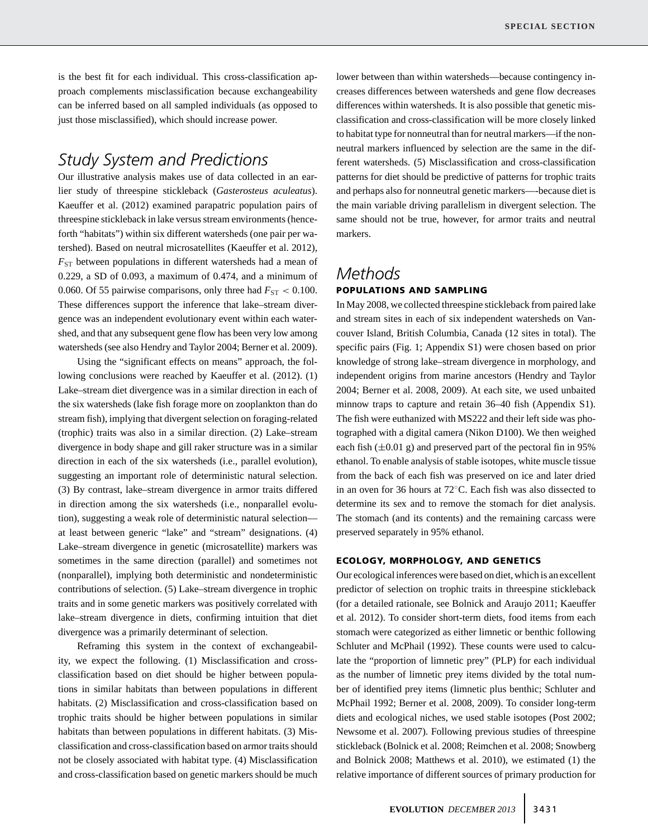is the best fit for each individual. This cross-classification approach complements misclassification because exchangeability can be inferred based on all sampled individuals (as opposed to just those misclassified), which should increase power.

# *Study System and Predictions*

Our illustrative analysis makes use of data collected in an earlier study of threespine stickleback (*Gasterosteus aculeatus*). Kaeuffer et al. (2012) examined parapatric population pairs of threespine stickleback in lake versus stream environments (henceforth "habitats") within six different watersheds (one pair per watershed). Based on neutral microsatellites (Kaeuffer et al. 2012),  $F_{ST}$  between populations in different watersheds had a mean of 0.229, a SD of 0.093, a maximum of 0.474, and a minimum of 0.060. Of 55 pairwise comparisons, only three had  $F_{ST}$  < 0.100. These differences support the inference that lake–stream divergence was an independent evolutionary event within each watershed, and that any subsequent gene flow has been very low among watersheds (see also Hendry and Taylor 2004; Berner et al. 2009).

Using the "significant effects on means" approach, the following conclusions were reached by Kaeuffer et al. (2012). (1) Lake–stream diet divergence was in a similar direction in each of the six watersheds (lake fish forage more on zooplankton than do stream fish), implying that divergent selection on foraging-related (trophic) traits was also in a similar direction. (2) Lake–stream divergence in body shape and gill raker structure was in a similar direction in each of the six watersheds (i.e., parallel evolution), suggesting an important role of deterministic natural selection. (3) By contrast, lake–stream divergence in armor traits differed in direction among the six watersheds (i.e., nonparallel evolution), suggesting a weak role of deterministic natural selection at least between generic "lake" and "stream" designations. (4) Lake–stream divergence in genetic (microsatellite) markers was sometimes in the same direction (parallel) and sometimes not (nonparallel), implying both deterministic and nondeterministic contributions of selection. (5) Lake–stream divergence in trophic traits and in some genetic markers was positively correlated with lake–stream divergence in diets, confirming intuition that diet divergence was a primarily determinant of selection.

Reframing this system in the context of exchangeability, we expect the following. (1) Misclassification and crossclassification based on diet should be higher between populations in similar habitats than between populations in different habitats. (2) Misclassification and cross-classification based on trophic traits should be higher between populations in similar habitats than between populations in different habitats. (3) Misclassification and cross-classification based on armor traits should not be closely associated with habitat type. (4) Misclassification and cross-classification based on genetic markers should be much

lower between than within watersheds—because contingency increases differences between watersheds and gene flow decreases differences within watersheds. It is also possible that genetic misclassification and cross-classification will be more closely linked to habitat type for nonneutral than for neutral markers—if the nonneutral markers influenced by selection are the same in the different watersheds. (5) Misclassification and cross-classification patterns for diet should be predictive of patterns for trophic traits and perhaps also for nonneutral genetic markers—-because diet is the main variable driving parallelism in divergent selection. The same should not be true, however, for armor traits and neutral markers.

# *Methods* **POPULATIONS AND SAMPLING**

In May 2008, we collected threespine stickleback from paired lake and stream sites in each of six independent watersheds on Vancouver Island, British Columbia, Canada (12 sites in total). The specific pairs (Fig. 1; Appendix S1) were chosen based on prior knowledge of strong lake–stream divergence in morphology, and independent origins from marine ancestors (Hendry and Taylor 2004; Berner et al. 2008, 2009). At each site, we used unbaited minnow traps to capture and retain 36–40 fish (Appendix S1). The fish were euthanized with MS222 and their left side was photographed with a digital camera (Nikon D100). We then weighed each fish  $(\pm 0.01 \text{ g})$  and preserved part of the pectoral fin in 95% ethanol. To enable analysis of stable isotopes, white muscle tissue from the back of each fish was preserved on ice and later dried in an oven for 36 hours at 72◦C. Each fish was also dissected to determine its sex and to remove the stomach for diet analysis. The stomach (and its contents) and the remaining carcass were preserved separately in 95% ethanol.

#### **ECOLOGY, MORPHOLOGY, AND GENETICS**

Our ecological inferences were based on diet, which is an excellent predictor of selection on trophic traits in threespine stickleback (for a detailed rationale, see Bolnick and Araujo 2011; Kaeuffer et al. 2012). To consider short-term diets, food items from each stomach were categorized as either limnetic or benthic following Schluter and McPhail (1992). These counts were used to calculate the "proportion of limnetic prey" (PLP) for each individual as the number of limnetic prey items divided by the total number of identified prey items (limnetic plus benthic; Schluter and McPhail 1992; Berner et al. 2008, 2009). To consider long-term diets and ecological niches, we used stable isotopes (Post 2002; Newsome et al. 2007). Following previous studies of threespine stickleback (Bolnick et al. 2008; Reimchen et al. 2008; Snowberg and Bolnick 2008; Matthews et al. 2010), we estimated (1) the relative importance of different sources of primary production for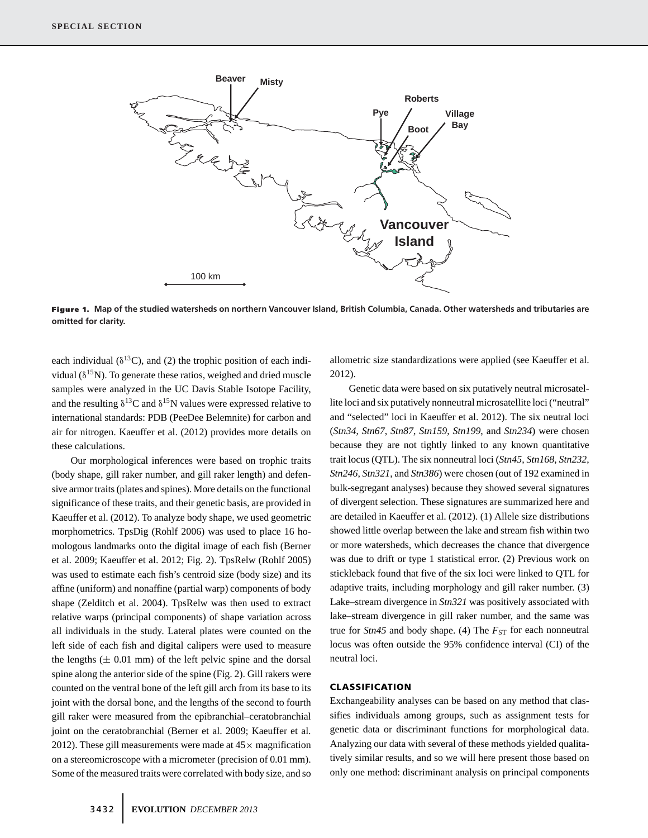

**Figure 1. Map of the studied watersheds on northern Vancouver Island, British Columbia, Canada. Other watersheds and tributaries are omitted for clarity.**

each individual ( $\delta^{13}$ C), and (2) the trophic position of each individual ( $\delta^{15}$ N). To generate these ratios, weighed and dried muscle samples were analyzed in the UC Davis Stable Isotope Facility, and the resulting  $\delta^{13}C$  and  $\delta^{15}N$  values were expressed relative to international standards: PDB (PeeDee Belemnite) for carbon and air for nitrogen. Kaeuffer et al. (2012) provides more details on these calculations.

Our morphological inferences were based on trophic traits (body shape, gill raker number, and gill raker length) and defensive armor traits (plates and spines). More details on the functional significance of these traits, and their genetic basis, are provided in Kaeuffer et al. (2012). To analyze body shape, we used geometric morphometrics. TpsDig (Rohlf 2006) was used to place 16 homologous landmarks onto the digital image of each fish (Berner et al. 2009; Kaeuffer et al. 2012; Fig. 2). TpsRelw (Rohlf 2005) was used to estimate each fish's centroid size (body size) and its affine (uniform) and nonaffine (partial warp) components of body shape (Zelditch et al. 2004). TpsRelw was then used to extract relative warps (principal components) of shape variation across all individuals in the study. Lateral plates were counted on the left side of each fish and digital calipers were used to measure the lengths  $(\pm 0.01 \text{ mm})$  of the left pelvic spine and the dorsal spine along the anterior side of the spine (Fig. 2). Gill rakers were counted on the ventral bone of the left gill arch from its base to its joint with the dorsal bone, and the lengths of the second to fourth gill raker were measured from the epibranchial–ceratobranchial joint on the ceratobranchial (Berner et al. 2009; Kaeuffer et al. 2012). These gill measurements were made at  $45\times$  magnification on a stereomicroscope with a micrometer (precision of 0.01 mm). Some of the measured traits were correlated with body size, and so

allometric size standardizations were applied (see Kaeuffer et al. 2012).

Genetic data were based on six putatively neutral microsatellite loci and six putatively nonneutral microsatellite loci ("neutral" and "selected" loci in Kaeuffer et al. 2012). The six neutral loci (*Stn34*, *Stn67*, *Stn87*, *Stn159*, *Stn199*, and *Stn234*) were chosen because they are not tightly linked to any known quantitative trait locus (QTL). The six nonneutral loci (*Stn45*, *Stn168*, *Stn232*, *Stn246*, *Stn321*, and *Stn386*) were chosen (out of 192 examined in bulk-segregant analyses) because they showed several signatures of divergent selection. These signatures are summarized here and are detailed in Kaeuffer et al. (2012). (1) Allele size distributions showed little overlap between the lake and stream fish within two or more watersheds, which decreases the chance that divergence was due to drift or type 1 statistical error. (2) Previous work on stickleback found that five of the six loci were linked to QTL for adaptive traits, including morphology and gill raker number. (3) Lake–stream divergence in *Stn321* was positively associated with lake–stream divergence in gill raker number, and the same was true for  $\frac{Stn45}{}$  and body shape. (4) The  $F_{ST}$  for each nonneutral locus was often outside the 95% confidence interval (CI) of the neutral loci.

### **CLASSIFICATION**

Exchangeability analyses can be based on any method that classifies individuals among groups, such as assignment tests for genetic data or discriminant functions for morphological data. Analyzing our data with several of these methods yielded qualitatively similar results, and so we will here present those based on only one method: discriminant analysis on principal components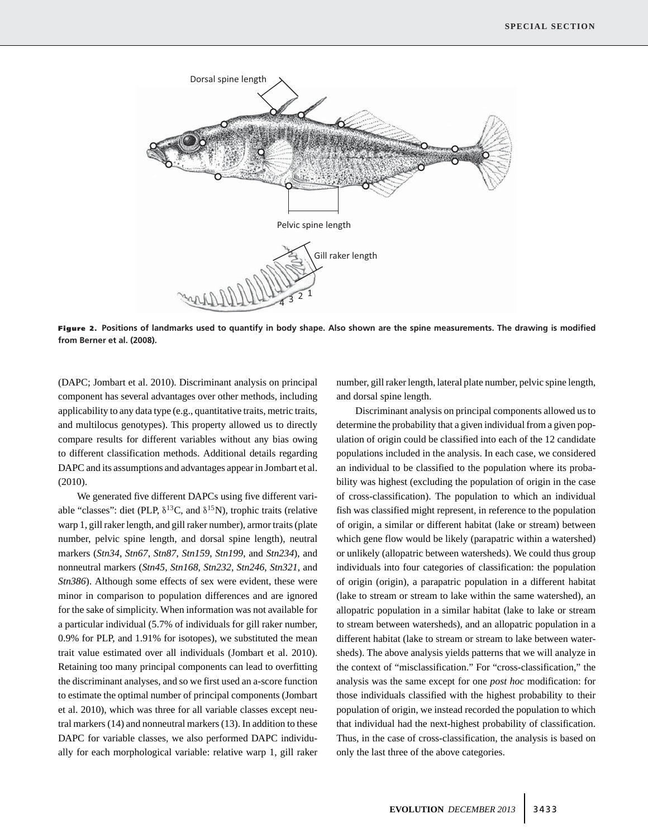

**Figure 2. Positions of landmarks used to quantify in body shape. Also shown are the spine measurements. The drawing is modified from Berner et al. (2008).**

(DAPC; Jombart et al. 2010). Discriminant analysis on principal component has several advantages over other methods, including applicability to any data type (e.g., quantitative traits, metric traits, and multilocus genotypes). This property allowed us to directly compare results for different variables without any bias owing to different classification methods. Additional details regarding DAPC and its assumptions and advantages appear in Jombart et al. (2010).

We generated five different DAPCs using five different variable "classes": diet (PLP,  $\delta^{13}$ C, and  $\delta^{15}$ N), trophic traits (relative warp 1, gill raker length, and gill raker number), armor traits (plate number, pelvic spine length, and dorsal spine length), neutral markers (*Stn34*, *Stn67*, *Stn87*, *Stn159*, *Stn199*, and *Stn234*), and nonneutral markers (*Stn45*, *Stn168*, *Stn232*, *Stn246*, *Stn321*, and *Stn386*). Although some effects of sex were evident, these were minor in comparison to population differences and are ignored for the sake of simplicity. When information was not available for a particular individual (5.7% of individuals for gill raker number, 0.9% for PLP, and 1.91% for isotopes), we substituted the mean trait value estimated over all individuals (Jombart et al. 2010). Retaining too many principal components can lead to overfitting the discriminant analyses, and so we first used an a-score function to estimate the optimal number of principal components (Jombart et al. 2010), which was three for all variable classes except neutral markers (14) and nonneutral markers (13). In addition to these DAPC for variable classes, we also performed DAPC individually for each morphological variable: relative warp 1, gill raker

number, gill raker length, lateral plate number, pelvic spine length, and dorsal spine length.

Discriminant analysis on principal components allowed us to determine the probability that a given individual from a given population of origin could be classified into each of the 12 candidate populations included in the analysis. In each case, we considered an individual to be classified to the population where its probability was highest (excluding the population of origin in the case of cross-classification). The population to which an individual fish was classified might represent, in reference to the population of origin, a similar or different habitat (lake or stream) between which gene flow would be likely (parapatric within a watershed) or unlikely (allopatric between watersheds). We could thus group individuals into four categories of classification: the population of origin (origin), a parapatric population in a different habitat (lake to stream or stream to lake within the same watershed), an allopatric population in a similar habitat (lake to lake or stream to stream between watersheds), and an allopatric population in a different habitat (lake to stream or stream to lake between watersheds). The above analysis yields patterns that we will analyze in the context of "misclassification." For "cross-classification," the analysis was the same except for one *post hoc* modification: for those individuals classified with the highest probability to their population of origin, we instead recorded the population to which that individual had the next-highest probability of classification. Thus, in the case of cross-classification, the analysis is based on only the last three of the above categories.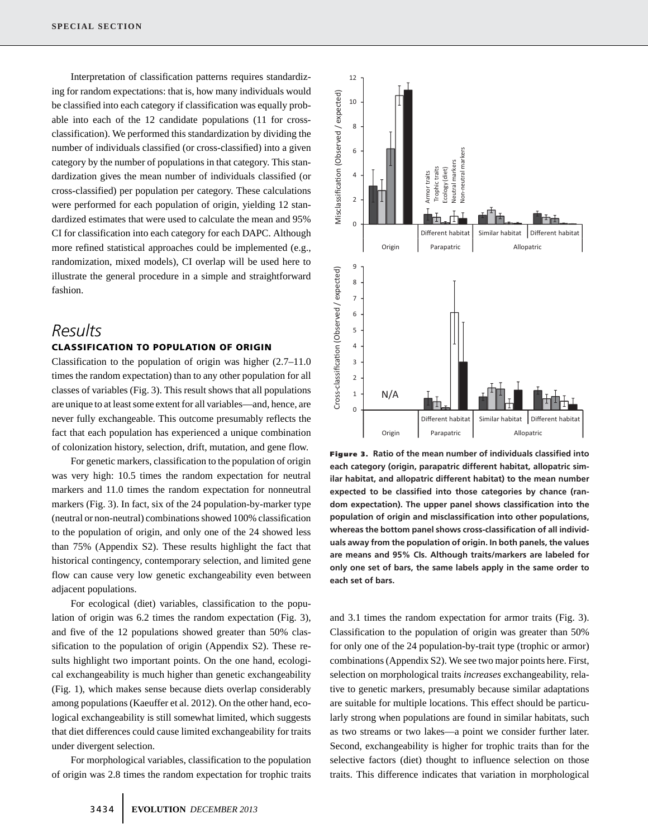Interpretation of classification patterns requires standardizing for random expectations: that is, how many individuals would be classified into each category if classification was equally probable into each of the 12 candidate populations (11 for crossclassification). We performed this standardization by dividing the number of individuals classified (or cross-classified) into a given category by the number of populations in that category. This standardization gives the mean number of individuals classified (or cross-classified) per population per category. These calculations were performed for each population of origin, yielding 12 standardized estimates that were used to calculate the mean and 95% CI for classification into each category for each DAPC. Although more refined statistical approaches could be implemented (e.g., randomization, mixed models), CI overlap will be used here to illustrate the general procedure in a simple and straightforward fashion.

# *Results* **CLASSIFICATION TO POPULATION OF ORIGIN**

Classification to the population of origin was higher (2.7–11.0 times the random expectation) than to any other population for all classes of variables (Fig. 3). This result shows that all populations are unique to at least some extent for all variables—and, hence, are never fully exchangeable. This outcome presumably reflects the fact that each population has experienced a unique combination of colonization history, selection, drift, mutation, and gene flow.

For genetic markers, classification to the population of origin was very high: 10.5 times the random expectation for neutral markers and 11.0 times the random expectation for nonneutral markers (Fig. 3). In fact, six of the 24 population-by-marker type (neutral or non-neutral) combinations showed 100% classification to the population of origin, and only one of the 24 showed less than 75% (Appendix S2). These results highlight the fact that historical contingency, contemporary selection, and limited gene flow can cause very low genetic exchangeability even between adjacent populations.

For ecological (diet) variables, classification to the population of origin was 6.2 times the random expectation (Fig. 3), and five of the 12 populations showed greater than 50% classification to the population of origin (Appendix S2). These results highlight two important points. On the one hand, ecological exchangeability is much higher than genetic exchangeability (Fig. 1), which makes sense because diets overlap considerably among populations (Kaeuffer et al. 2012). On the other hand, ecological exchangeability is still somewhat limited, which suggests that diet differences could cause limited exchangeability for traits under divergent selection.

For morphological variables, classification to the population of origin was 2.8 times the random expectation for trophic traits



**Figure 3. Ratio of the mean number of individuals classified into each category (origin, parapatric different habitat, allopatric similar habitat, and allopatric different habitat) to the mean number expected to be classified into those categories by chance (random expectation). The upper panel shows classification into the population of origin and misclassification into other populations, whereas the bottom panel shows cross-classification of all individuals away from the population of origin. In both panels, the values are means and 95% CIs. Although traits/markers are labeled for only one set of bars, the same labels apply in the same order to each set of bars.**

and 3.1 times the random expectation for armor traits (Fig. 3). Classification to the population of origin was greater than 50% for only one of the 24 population-by-trait type (trophic or armor) combinations (Appendix S2). We see two major points here. First, selection on morphological traits *increases* exchangeability, relative to genetic markers, presumably because similar adaptations are suitable for multiple locations. This effect should be particularly strong when populations are found in similar habitats, such as two streams or two lakes—a point we consider further later. Second, exchangeability is higher for trophic traits than for the selective factors (diet) thought to influence selection on those traits. This difference indicates that variation in morphological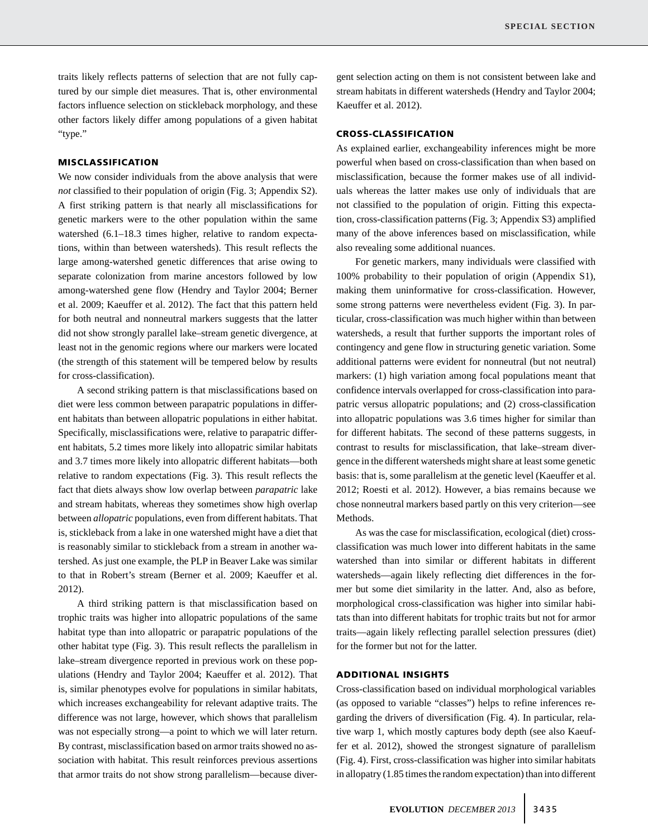traits likely reflects patterns of selection that are not fully captured by our simple diet measures. That is, other environmental factors influence selection on stickleback morphology, and these other factors likely differ among populations of a given habitat "type."

### **MISCLASSIFICATION**

We now consider individuals from the above analysis that were *not* classified to their population of origin (Fig. 3; Appendix S2). A first striking pattern is that nearly all misclassifications for genetic markers were to the other population within the same watershed (6.1–18.3 times higher, relative to random expectations, within than between watersheds). This result reflects the large among-watershed genetic differences that arise owing to separate colonization from marine ancestors followed by low among-watershed gene flow (Hendry and Taylor 2004; Berner et al. 2009; Kaeuffer et al. 2012). The fact that this pattern held for both neutral and nonneutral markers suggests that the latter did not show strongly parallel lake–stream genetic divergence, at least not in the genomic regions where our markers were located (the strength of this statement will be tempered below by results for cross-classification).

A second striking pattern is that misclassifications based on diet were less common between parapatric populations in different habitats than between allopatric populations in either habitat. Specifically, misclassifications were, relative to parapatric different habitats, 5.2 times more likely into allopatric similar habitats and 3.7 times more likely into allopatric different habitats—both relative to random expectations (Fig. 3). This result reflects the fact that diets always show low overlap between *parapatric* lake and stream habitats, whereas they sometimes show high overlap between *allopatric* populations, even from different habitats. That is, stickleback from a lake in one watershed might have a diet that is reasonably similar to stickleback from a stream in another watershed. As just one example, the PLP in Beaver Lake was similar to that in Robert's stream (Berner et al. 2009; Kaeuffer et al. 2012).

A third striking pattern is that misclassification based on trophic traits was higher into allopatric populations of the same habitat type than into allopatric or parapatric populations of the other habitat type (Fig. 3). This result reflects the parallelism in lake–stream divergence reported in previous work on these populations (Hendry and Taylor 2004; Kaeuffer et al. 2012). That is, similar phenotypes evolve for populations in similar habitats, which increases exchangeability for relevant adaptive traits. The difference was not large, however, which shows that parallelism was not especially strong—a point to which we will later return. By contrast, misclassification based on armor traits showed no association with habitat. This result reinforces previous assertions that armor traits do not show strong parallelism—because divergent selection acting on them is not consistent between lake and stream habitats in different watersheds (Hendry and Taylor 2004; Kaeuffer et al. 2012).

### **CROSS-CLASSIFICATION**

As explained earlier, exchangeability inferences might be more powerful when based on cross-classification than when based on misclassification, because the former makes use of all individuals whereas the latter makes use only of individuals that are not classified to the population of origin. Fitting this expectation, cross-classification patterns (Fig. 3; Appendix S3) amplified many of the above inferences based on misclassification, while also revealing some additional nuances.

For genetic markers, many individuals were classified with 100% probability to their population of origin (Appendix S1), making them uninformative for cross-classification. However, some strong patterns were nevertheless evident (Fig. 3). In particular, cross-classification was much higher within than between watersheds, a result that further supports the important roles of contingency and gene flow in structuring genetic variation. Some additional patterns were evident for nonneutral (but not neutral) markers: (1) high variation among focal populations meant that confidence intervals overlapped for cross-classification into parapatric versus allopatric populations; and (2) cross-classification into allopatric populations was 3.6 times higher for similar than for different habitats. The second of these patterns suggests, in contrast to results for misclassification, that lake–stream divergence in the different watersheds might share at least some genetic basis: that is, some parallelism at the genetic level (Kaeuffer et al. 2012; Roesti et al. 2012). However, a bias remains because we chose nonneutral markers based partly on this very criterion—see Methods.

As was the case for misclassification, ecological (diet) crossclassification was much lower into different habitats in the same watershed than into similar or different habitats in different watersheds—again likely reflecting diet differences in the former but some diet similarity in the latter. And, also as before, morphological cross-classification was higher into similar habitats than into different habitats for trophic traits but not for armor traits—again likely reflecting parallel selection pressures (diet) for the former but not for the latter.

### **ADDITIONAL INSIGHTS**

Cross-classification based on individual morphological variables (as opposed to variable "classes") helps to refine inferences regarding the drivers of diversification (Fig. 4). In particular, relative warp 1, which mostly captures body depth (see also Kaeuffer et al. 2012), showed the strongest signature of parallelism (Fig. 4). First, cross-classification was higher into similar habitats in allopatry (1.85 times the random expectation) than into different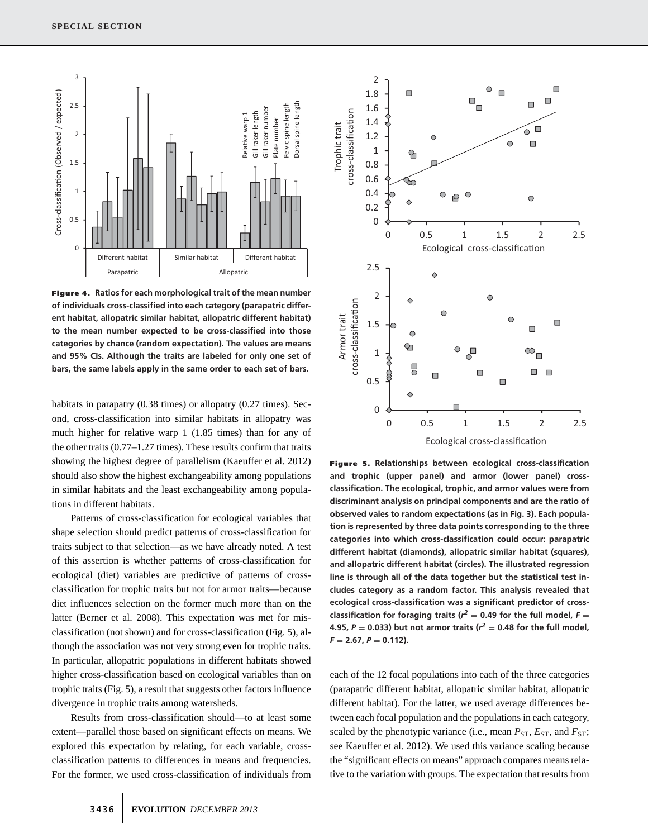

**Figure 4. Ratios for each morphological trait of the mean number of individuals cross-classified into each category (parapatric different habitat, allopatric similar habitat, allopatric different habitat) to the mean number expected to be cross-classified into those categories by chance (random expectation). The values are means and 95% CIs. Although the traits are labeled for only one set of bars, the same labels apply in the same order to each set of bars.**

habitats in parapatry (0.38 times) or allopatry (0.27 times). Second, cross-classification into similar habitats in allopatry was much higher for relative warp 1 (1.85 times) than for any of the other traits (0.77–1.27 times). These results confirm that traits showing the highest degree of parallelism (Kaeuffer et al. 2012) should also show the highest exchangeability among populations in similar habitats and the least exchangeability among populations in different habitats.

Patterns of cross-classification for ecological variables that shape selection should predict patterns of cross-classification for traits subject to that selection—as we have already noted. A test of this assertion is whether patterns of cross-classification for ecological (diet) variables are predictive of patterns of crossclassification for trophic traits but not for armor traits—because diet influences selection on the former much more than on the latter (Berner et al. 2008). This expectation was met for misclassification (not shown) and for cross-classification (Fig. 5), although the association was not very strong even for trophic traits. In particular, allopatric populations in different habitats showed higher cross-classification based on ecological variables than on trophic traits (Fig. 5), a result that suggests other factors influence divergence in trophic traits among watersheds.

Results from cross-classification should—to at least some extent—parallel those based on significant effects on means. We explored this expectation by relating, for each variable, crossclassification patterns to differences in means and frequencies. For the former, we used cross-classification of individuals from



**Figure 5. Relationships between ecological cross-classification and trophic (upper panel) and armor (lower panel) crossclassification. The ecological, trophic, and armor values were from discriminant analysis on principal components and are the ratio of observed vales to random expectations (as in Fig. 3). Each population is represented by three data points corresponding to the three categories into which cross-classification could occur: parapatric different habitat (diamonds), allopatric similar habitat (squares), and allopatric different habitat (circles). The illustrated regression line is through all of the data together but the statistical test includes category as a random factor. This analysis revealed that ecological cross-classification was a significant predictor of crossclassification for foraging traits (** $r^2 = 0.49$  **for the full model,**  $F =$ **4.95,**  $P = 0.033$ ) but not armor traits ( $r^2 = 0.48$  for the full model, *F* **= 2.67,** *P* **= 0.112).**

each of the 12 focal populations into each of the three categories (parapatric different habitat, allopatric similar habitat, allopatric different habitat). For the latter, we used average differences between each focal population and the populations in each category, scaled by the phenotypic variance (i.e., mean  $P_{ST}$ ,  $E_{ST}$ , and  $F_{ST}$ ; see Kaeuffer et al. 2012). We used this variance scaling because the "significant effects on means" approach compares means relative to the variation with groups. The expectation that results from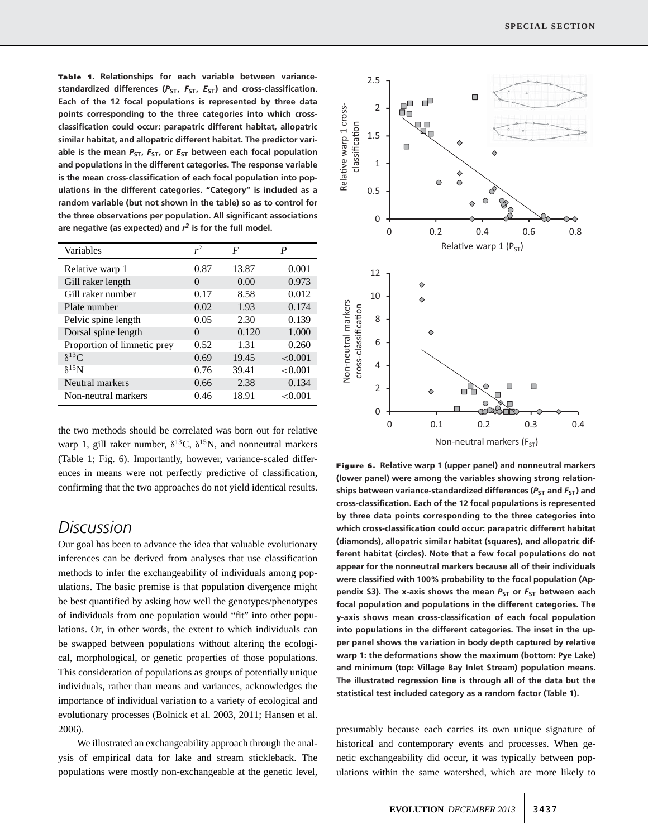Table 1. Relationships for each variable between variance**standardized differences (***P***ST,** *F***ST,** *E***ST) and cross-classification. Each of the 12 focal populations is represented by three data points corresponding to the three categories into which crossclassification could occur: parapatric different habitat, allopatric similar habitat, and allopatric different habitat. The predictor variable is the mean** *P***ST,** *F***ST, or** *E***ST between each focal population and populations in the different categories. The response variable is the mean cross-classification of each focal population into populations in the different categories. "Category" is included as a random variable (but not shown in the table) so as to control for the three observations per population. All significant associations are negative (as expected) and** *r2* **is for the full model.**

| Variables                   | $r^2$    | F     | P          |
|-----------------------------|----------|-------|------------|
| Relative warp 1             | 0.87     | 13.87 | 0.001      |
| Gill raker length           | $\theta$ | 0.00  | 0.973      |
| Gill raker number           | 0.17     | 8.58  | 0.012      |
| Plate number                | 0.02     | 1.93  | 0.174      |
| Pelvic spine length         | 0.05     | 2.30  | 0.139      |
| Dorsal spine length         | $\Omega$ | 0.120 | 1.000      |
| Proportion of limnetic prey | 0.52     | 1.31  | 0.260      |
| $\delta^{13}C$              | 0.69     | 19.45 | < 0.001    |
| $\delta^{15}$ N             | 0.76     | 39.41 | < 0.001    |
| Neutral markers             | 0.66     | 2.38  | 0.134      |
| Non-neutral markers         | 0.46     | 18.91 | ${<}0.001$ |

the two methods should be correlated was born out for relative warp 1, gill raker number,  $\delta^{13}C$ ,  $\delta^{15}N$ , and nonneutral markers (Table 1; Fig. 6). Importantly, however, variance-scaled differences in means were not perfectly predictive of classification, confirming that the two approaches do not yield identical results.

# *Discussion*

Our goal has been to advance the idea that valuable evolutionary inferences can be derived from analyses that use classification methods to infer the exchangeability of individuals among populations. The basic premise is that population divergence might be best quantified by asking how well the genotypes/phenotypes of individuals from one population would "fit" into other populations. Or, in other words, the extent to which individuals can be swapped between populations without altering the ecological, morphological, or genetic properties of those populations. This consideration of populations as groups of potentially unique individuals, rather than means and variances, acknowledges the importance of individual variation to a variety of ecological and evolutionary processes (Bolnick et al. 2003, 2011; Hansen et al. 2006).

We illustrated an exchangeability approach through the analysis of empirical data for lake and stream stickleback. The populations were mostly non-exchangeable at the genetic level,



**Figure 6. Relative warp 1 (upper panel) and nonneutral markers (lower panel) were among the variables showing strong relationships between variance-standardized differences (** $P_{ST}$  **and**  $F_{ST}$ **) and cross-classification. Each of the 12 focal populations is represented by three data points corresponding to the three categories into which cross-classification could occur: parapatric different habitat (diamonds), allopatric similar habitat (squares), and allopatric different habitat (circles). Note that a few focal populations do not appear for the nonneutral markers because all of their individuals were classified with 100% probability to the focal population (Appendix S3). The x-axis shows the mean**  $P_{ST}$  **or**  $F_{ST}$  **between each focal population and populations in the different categories. The y-axis shows mean cross-classification of each focal population into populations in the different categories. The inset in the upper panel shows the variation in body depth captured by relative warp 1: the deformations show the maximum (bottom: Pye Lake) and minimum (top: Village Bay Inlet Stream) population means. The illustrated regression line is through all of the data but the statistical test included category as a random factor (Table 1).**

presumably because each carries its own unique signature of historical and contemporary events and processes. When genetic exchangeability did occur, it was typically between populations within the same watershed, which are more likely to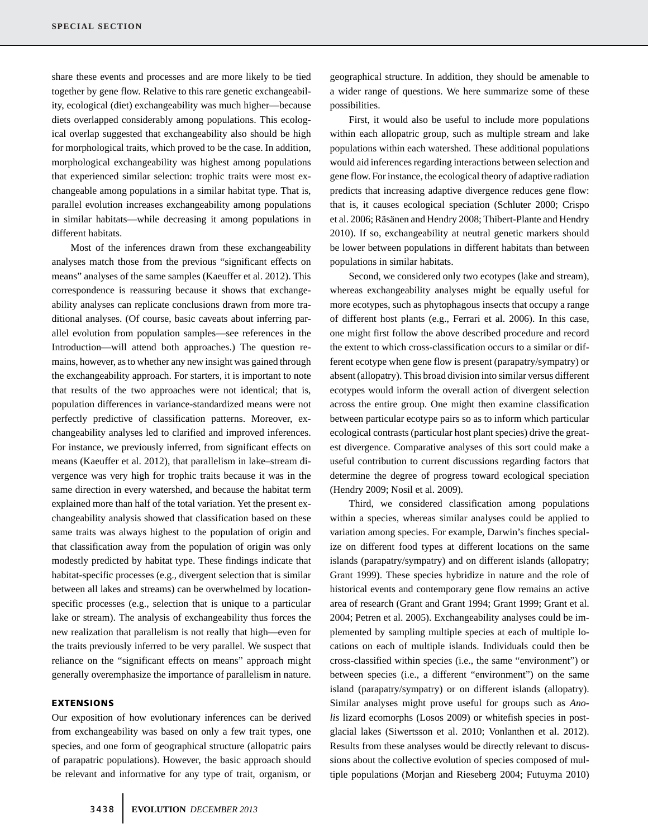share these events and processes and are more likely to be tied together by gene flow. Relative to this rare genetic exchangeability, ecological (diet) exchangeability was much higher—because diets overlapped considerably among populations. This ecological overlap suggested that exchangeability also should be high for morphological traits, which proved to be the case. In addition, morphological exchangeability was highest among populations that experienced similar selection: trophic traits were most exchangeable among populations in a similar habitat type. That is, parallel evolution increases exchangeability among populations in similar habitats—while decreasing it among populations in different habitats.

Most of the inferences drawn from these exchangeability analyses match those from the previous "significant effects on means" analyses of the same samples (Kaeuffer et al. 2012). This correspondence is reassuring because it shows that exchangeability analyses can replicate conclusions drawn from more traditional analyses. (Of course, basic caveats about inferring parallel evolution from population samples—see references in the Introduction—will attend both approaches.) The question remains, however, as to whether any new insight was gained through the exchangeability approach. For starters, it is important to note that results of the two approaches were not identical; that is, population differences in variance-standardized means were not perfectly predictive of classification patterns. Moreover, exchangeability analyses led to clarified and improved inferences. For instance, we previously inferred, from significant effects on means (Kaeuffer et al. 2012), that parallelism in lake–stream divergence was very high for trophic traits because it was in the same direction in every watershed, and because the habitat term explained more than half of the total variation. Yet the present exchangeability analysis showed that classification based on these same traits was always highest to the population of origin and that classification away from the population of origin was only modestly predicted by habitat type. These findings indicate that habitat-specific processes (e.g., divergent selection that is similar between all lakes and streams) can be overwhelmed by locationspecific processes (e.g., selection that is unique to a particular lake or stream). The analysis of exchangeability thus forces the new realization that parallelism is not really that high—even for the traits previously inferred to be very parallel. We suspect that reliance on the "significant effects on means" approach might generally overemphasize the importance of parallelism in nature.

### **EXTENSIONS**

Our exposition of how evolutionary inferences can be derived from exchangeability was based on only a few trait types, one species, and one form of geographical structure (allopatric pairs of parapatric populations). However, the basic approach should be relevant and informative for any type of trait, organism, or

3438 **EVOLUTION** *DECEMBER 2013*

geographical structure. In addition, they should be amenable to a wider range of questions. We here summarize some of these possibilities.

First, it would also be useful to include more populations within each allopatric group, such as multiple stream and lake populations within each watershed. These additional populations would aid inferences regarding interactions between selection and gene flow. For instance, the ecological theory of adaptive radiation predicts that increasing adaptive divergence reduces gene flow: that is, it causes ecological speciation (Schluter 2000; Crispo et al. 2006; Räsänen and Hendry 2008; Thibert-Plante and Hendry 2010). If so, exchangeability at neutral genetic markers should be lower between populations in different habitats than between populations in similar habitats.

Second, we considered only two ecotypes (lake and stream), whereas exchangeability analyses might be equally useful for more ecotypes, such as phytophagous insects that occupy a range of different host plants (e.g., Ferrari et al. 2006). In this case, one might first follow the above described procedure and record the extent to which cross-classification occurs to a similar or different ecotype when gene flow is present (parapatry/sympatry) or absent (allopatry). This broad division into similar versus different ecotypes would inform the overall action of divergent selection across the entire group. One might then examine classification between particular ecotype pairs so as to inform which particular ecological contrasts (particular host plant species) drive the greatest divergence. Comparative analyses of this sort could make a useful contribution to current discussions regarding factors that determine the degree of progress toward ecological speciation (Hendry 2009; Nosil et al. 2009).

Third, we considered classification among populations within a species, whereas similar analyses could be applied to variation among species. For example, Darwin's finches specialize on different food types at different locations on the same islands (parapatry/sympatry) and on different islands (allopatry; Grant 1999). These species hybridize in nature and the role of historical events and contemporary gene flow remains an active area of research (Grant and Grant 1994; Grant 1999; Grant et al. 2004; Petren et al. 2005). Exchangeability analyses could be implemented by sampling multiple species at each of multiple locations on each of multiple islands. Individuals could then be cross-classified within species (i.e., the same "environment") or between species (i.e., a different "environment") on the same island (parapatry/sympatry) or on different islands (allopatry). Similar analyses might prove useful for groups such as *Anolis* lizard ecomorphs (Losos 2009) or whitefish species in postglacial lakes (Siwertsson et al. 2010; Vonlanthen et al. 2012). Results from these analyses would be directly relevant to discussions about the collective evolution of species composed of multiple populations (Morjan and Rieseberg 2004; Futuyma 2010)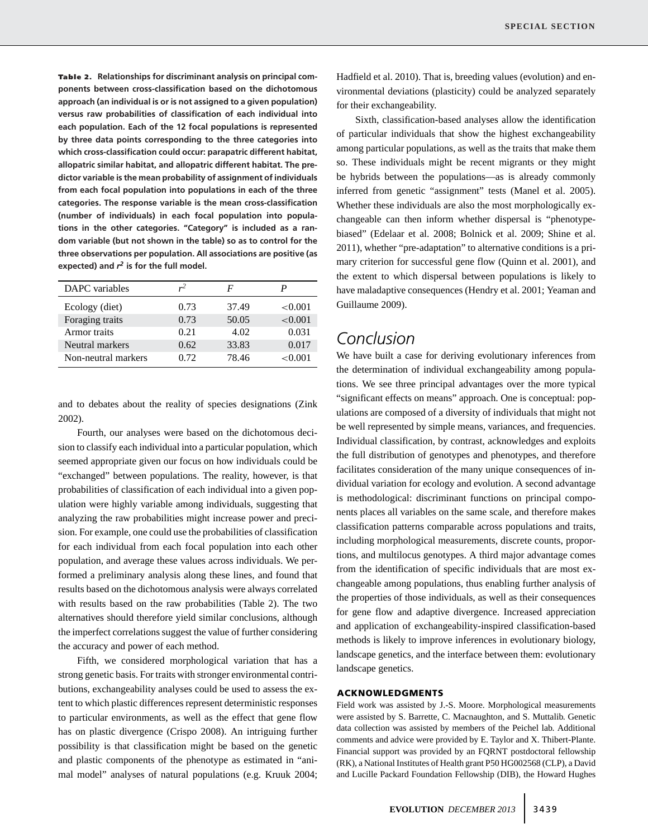Table 2. Relationships for discriminant analysis on principal com**ponents between cross-classification based on the dichotomous approach (an individual is or is not assigned to a given population) versus raw probabilities of classification of each individual into each population. Each of the 12 focal populations is represented by three data points corresponding to the three categories into which cross-classification could occur: parapatric different habitat, allopatric similar habitat, and allopatric different habitat. The predictor variable is the mean probability of assignment of individuals from each focal population into populations in each of the three categories. The response variable is the mean cross-classification (number of individuals) in each focal population into populations in the other categories. "Category" is included as a random variable (but not shown in the table) so as to control for the three observations per population. All associations are positive (as expected) and** *r2* **is for the full model.**

| DAPC variables      |      | F     |            |
|---------------------|------|-------|------------|
| Ecology (diet)      | 0.73 | 37.49 | ${<}0.001$ |
| Foraging traits     | 0.73 | 50.05 | ${<}0.001$ |
| Armor traits        | 0.21 | 4.02  | 0.031      |
| Neutral markers     | 0.62 | 33.83 | 0.017      |
| Non-neutral markers | 0.72 | 78.46 | ${<}0.001$ |

and to debates about the reality of species designations (Zink 2002).

Fourth, our analyses were based on the dichotomous decision to classify each individual into a particular population, which seemed appropriate given our focus on how individuals could be "exchanged" between populations. The reality, however, is that probabilities of classification of each individual into a given population were highly variable among individuals, suggesting that analyzing the raw probabilities might increase power and precision. For example, one could use the probabilities of classification for each individual from each focal population into each other population, and average these values across individuals. We performed a preliminary analysis along these lines, and found that results based on the dichotomous analysis were always correlated with results based on the raw probabilities (Table 2). The two alternatives should therefore yield similar conclusions, although the imperfect correlations suggest the value of further considering the accuracy and power of each method.

Fifth, we considered morphological variation that has a strong genetic basis. For traits with stronger environmental contributions, exchangeability analyses could be used to assess the extent to which plastic differences represent deterministic responses to particular environments, as well as the effect that gene flow has on plastic divergence (Crispo 2008). An intriguing further possibility is that classification might be based on the genetic and plastic components of the phenotype as estimated in "animal model" analyses of natural populations (e.g. Kruuk 2004;

Hadfield et al. 2010). That is, breeding values (evolution) and environmental deviations (plasticity) could be analyzed separately for their exchangeability.

Sixth, classification-based analyses allow the identification of particular individuals that show the highest exchangeability among particular populations, as well as the traits that make them so. These individuals might be recent migrants or they might be hybrids between the populations—as is already commonly inferred from genetic "assignment" tests (Manel et al. 2005). Whether these individuals are also the most morphologically exchangeable can then inform whether dispersal is "phenotypebiased" (Edelaar et al. 2008; Bolnick et al. 2009; Shine et al. 2011), whether "pre-adaptation" to alternative conditions is a primary criterion for successful gene flow (Quinn et al. 2001), and the extent to which dispersal between populations is likely to have maladaptive consequences (Hendry et al. 2001; Yeaman and Guillaume 2009).

# *Conclusion*

We have built a case for deriving evolutionary inferences from the determination of individual exchangeability among populations. We see three principal advantages over the more typical "significant effects on means" approach. One is conceptual: populations are composed of a diversity of individuals that might not be well represented by simple means, variances, and frequencies. Individual classification, by contrast, acknowledges and exploits the full distribution of genotypes and phenotypes, and therefore facilitates consideration of the many unique consequences of individual variation for ecology and evolution. A second advantage is methodological: discriminant functions on principal components places all variables on the same scale, and therefore makes classification patterns comparable across populations and traits, including morphological measurements, discrete counts, proportions, and multilocus genotypes. A third major advantage comes from the identification of specific individuals that are most exchangeable among populations, thus enabling further analysis of the properties of those individuals, as well as their consequences for gene flow and adaptive divergence. Increased appreciation and application of exchangeability-inspired classification-based methods is likely to improve inferences in evolutionary biology, landscape genetics, and the interface between them: evolutionary landscape genetics.

### **ACKNOWLEDGMENTS**

Field work was assisted by J.-S. Moore. Morphological measurements were assisted by S. Barrette, C. Macnaughton, and S. Muttalib. Genetic data collection was assisted by members of the Peichel lab. Additional comments and advice were provided by E. Taylor and X. Thibert-Plante. Financial support was provided by an FQRNT postdoctoral fellowship (RK), a National Institutes of Health grant P50 HG002568 (CLP), a David and Lucille Packard Foundation Fellowship (DIB), the Howard Hughes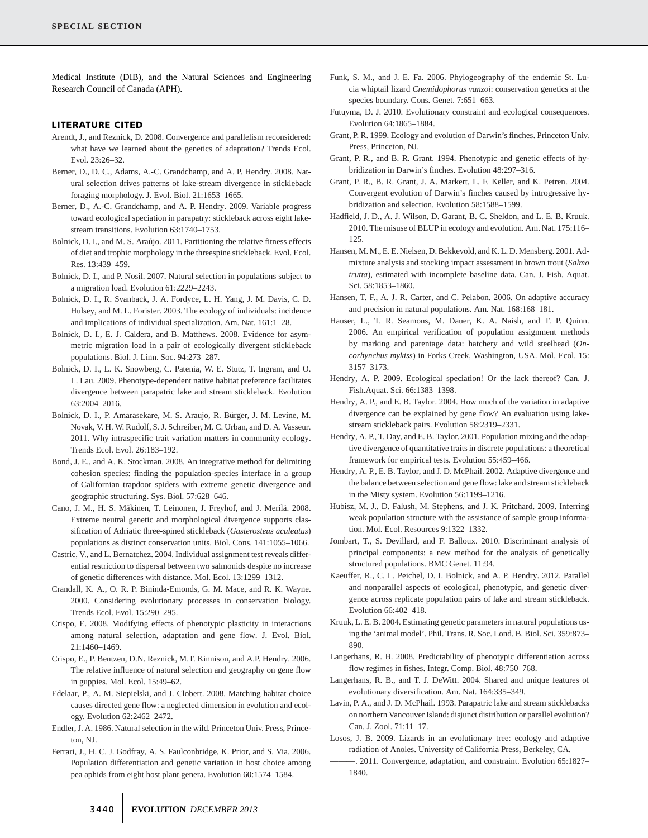Medical Institute (DIB), and the Natural Sciences and Engineering Research Council of Canada (APH).

#### **LITERATURE CITED**

- Arendt, J., and Reznick, D. 2008. Convergence and parallelism reconsidered: what have we learned about the genetics of adaptation? Trends Ecol. Evol. 23:26–32.
- Berner, D., D. C., Adams, A.-C. Grandchamp, and A. P. Hendry. 2008. Natural selection drives patterns of lake-stream divergence in stickleback foraging morphology. J. Evol. Biol. 21:1653–1665.
- Berner, D., A.-C. Grandchamp, and A. P. Hendry. 2009. Variable progress toward ecological speciation in parapatry: stickleback across eight lakestream transitions. Evolution 63:1740–1753.
- Bolnick, D. I., and M. S. Araújo. 2011. Partitioning the relative fitness effects of diet and trophic morphology in the threespine stickleback. Evol. Ecol. Res. 13:439–459.
- Bolnick, D. I., and P. Nosil. 2007. Natural selection in populations subject to a migration load. Evolution 61:2229–2243.
- Bolnick, D. I., R. Svanback, J. A. Fordyce, L. H. Yang, J. M. Davis, C. D. Hulsey, and M. L. Forister. 2003. The ecology of individuals: incidence and implications of individual specialization. Am. Nat. 161:1–28.
- Bolnick, D. I., E. J. Caldera, and B. Matthews. 2008. Evidence for asymmetric migration load in a pair of ecologically divergent stickleback populations. Biol. J. Linn. Soc. 94:273–287.
- Bolnick, D. I., L. K. Snowberg, C. Patenia, W. E. Stutz, T. Ingram, and O. L. Lau. 2009. Phenotype-dependent native habitat preference facilitates divergence between parapatric lake and stream stickleback. Evolution 63:2004–2016.
- Bolnick, D. I., P. Amarasekare, M. S. Araujo, R. Burger, J. M. Levine, M. ¨ Novak, V. H. W. Rudolf, S. J. Schreiber, M. C. Urban, and D. A. Vasseur. 2011. Why intraspecific trait variation matters in community ecology. Trends Ecol. Evol. 26:183–192.
- Bond, J. E., and A. K. Stockman. 2008. An integrative method for delimiting cohesion species: finding the population-species interface in a group of Californian trapdoor spiders with extreme genetic divergence and geographic structuring. Sys. Biol. 57:628–646.
- Cano, J. M., H. S. Mäkinen, T. Leinonen, J. Freyhof, and J. Merilä. 2008. Extreme neutral genetic and morphological divergence supports classification of Adriatic three-spined stickleback (*Gasterosteus aculeatus*) populations as distinct conservation units. Biol. Cons. 141:1055–1066.
- Castric, V., and L. Bernatchez. 2004. Individual assignment test reveals differential restriction to dispersal between two salmonids despite no increase of genetic differences with distance. Mol. Ecol. 13:1299–1312.
- Crandall, K. A., O. R. P. Bininda-Emonds, G. M. Mace, and R. K. Wayne. 2000. Considering evolutionary processes in conservation biology. Trends Ecol. Evol. 15:290–295.
- Crispo, E. 2008. Modifying effects of phenotypic plasticity in interactions among natural selection, adaptation and gene flow. J. Evol. Biol. 21:1460–1469.
- Crispo, E., P. Bentzen, D.N. Reznick, M.T. Kinnison, and A.P. Hendry. 2006. The relative influence of natural selection and geography on gene flow in guppies. Mol. Ecol. 15:49–62.
- Edelaar, P., A. M. Siepielski, and J. Clobert. 2008. Matching habitat choice causes directed gene flow: a neglected dimension in evolution and ecology. Evolution 62:2462–2472.
- Endler, J. A. 1986. Natural selection in the wild. Princeton Univ. Press, Princeton, NJ.
- Ferrari, J., H. C. J. Godfray, A. S. Faulconbridge, K. Prior, and S. Via. 2006. Population differentiation and genetic variation in host choice among pea aphids from eight host plant genera. Evolution 60:1574–1584.
- Funk, S. M., and J. E. Fa. 2006. Phylogeography of the endemic St. Lucia whiptail lizard *Cnemidophorus vanzoi*: conservation genetics at the species boundary. Cons. Genet. 7:651–663.
- Futuyma, D. J. 2010. Evolutionary constraint and ecological consequences. Evolution 64:1865–1884.
- Grant, P. R. 1999. Ecology and evolution of Darwin's finches. Princeton Univ. Press, Princeton, NJ.
- Grant, P. R., and B. R. Grant. 1994. Phenotypic and genetic effects of hybridization in Darwin's finches. Evolution 48:297–316.
- Grant, P. R., B. R. Grant, J. A. Markert, L. F. Keller, and K. Petren. 2004. Convergent evolution of Darwin's finches caused by introgressive hybridization and selection. Evolution 58:1588–1599.
- Hadfield, J. D., A. J. Wilson, D. Garant, B. C. Sheldon, and L. E. B. Kruuk. 2010. The misuse of BLUP in ecology and evolution. Am. Nat. 175:116– 125.
- Hansen, M. M., E. E. Nielsen, D. Bekkevold, and K. L. D. Mensberg. 2001. Admixture analysis and stocking impact assessment in brown trout (*Salmo trutta*), estimated with incomplete baseline data. Can. J. Fish. Aquat. Sci. 58:1853–1860.
- Hansen, T. F., A. J. R. Carter, and C. Pelabon. 2006. On adaptive accuracy and precision in natural populations. Am. Nat. 168:168–181.
- Hauser, L., T. R. Seamons, M. Dauer, K. A. Naish, and T. P. Quinn. 2006. An empirical verification of population assignment methods by marking and parentage data: hatchery and wild steelhead (*Oncorhynchus mykiss*) in Forks Creek, Washington, USA. Mol. Ecol. 15: 3157–3173.
- Hendry, A. P. 2009. Ecological speciation! Or the lack thereof? Can. J. Fish.Aquat. Sci. 66:1383–1398.
- Hendry, A. P., and E. B. Taylor. 2004. How much of the variation in adaptive divergence can be explained by gene flow? An evaluation using lakestream stickleback pairs. Evolution 58:2319–2331.
- Hendry, A. P., T. Day, and E. B. Taylor. 2001. Population mixing and the adaptive divergence of quantitative traits in discrete populations: a theoretical framework for empirical tests. Evolution 55:459–466.
- Hendry, A. P., E. B. Taylor, and J. D. McPhail. 2002. Adaptive divergence and the balance between selection and gene flow: lake and stream stickleback in the Misty system. Evolution 56:1199–1216.
- Hubisz, M. J., D. Falush, M. Stephens, and J. K. Pritchard. 2009. Inferring weak population structure with the assistance of sample group information. Mol. Ecol. Resources 9:1322–1332.
- Jombart, T., S. Devillard, and F. Balloux. 2010. Discriminant analysis of principal components: a new method for the analysis of genetically structured populations. BMC Genet. 11:94.
- Kaeuffer, R., C. L. Peichel, D. I. Bolnick, and A. P. Hendry. 2012. Parallel and nonparallel aspects of ecological, phenotypic, and genetic divergence across replicate population pairs of lake and stream stickleback. Evolution 66:402–418.
- Kruuk, L. E. B. 2004. Estimating genetic parameters in natural populations using the 'animal model'. Phil. Trans. R. Soc. Lond. B. Biol. Sci. 359:873– 890.
- Langerhans, R. B. 2008. Predictability of phenotypic differentiation across flow regimes in fishes. Integr. Comp. Biol. 48:750–768.
- Langerhans, R. B., and T. J. DeWitt. 2004. Shared and unique features of evolutionary diversification. Am. Nat. 164:335–349.
- Lavin, P. A., and J. D. McPhail. 1993. Parapatric lake and stream sticklebacks on northern Vancouver Island: disjunct distribution or parallel evolution? Can. J. Zool. 71:11–17.
- Losos, J. B. 2009. Lizards in an evolutionary tree: ecology and adaptive radiation of Anoles. University of California Press, Berkeley, CA.
- -. 2011. Convergence, adaptation, and constraint. Evolution 65:1827-1840.